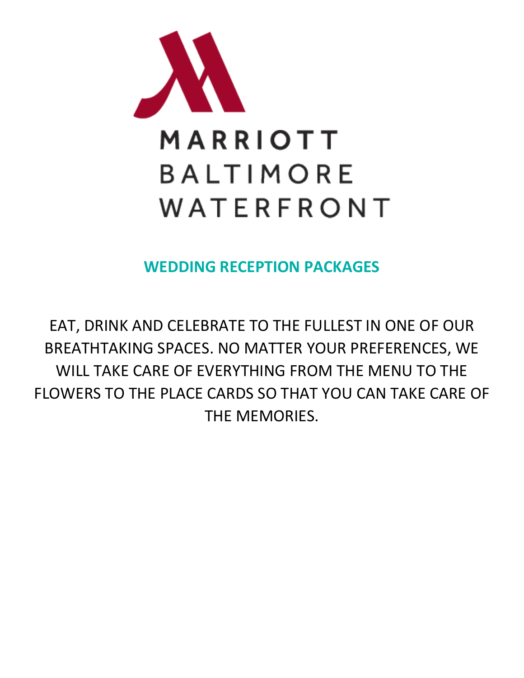

**WEDDING RECEPTION PACKAGES**

EAT, DRINK AND CELEBRATE TO THE FULLEST IN ONE OF OUR BREATHTAKING SPACES. NO MATTER YOUR PREFERENCES, WE WILL TAKE CARE OF EVERYTHING FROM THE MENU TO THE FLOWERS TO THE PLACE CARDS SO THAT YOU CAN TAKE CARE OF THE MEMORIES.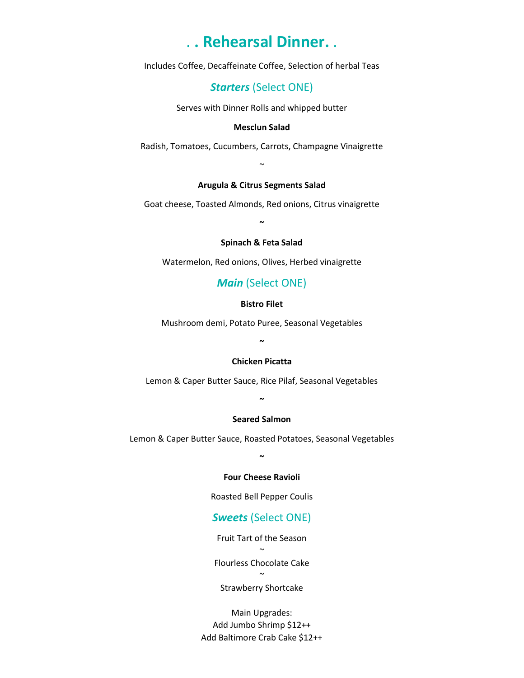# . **. Rehearsal Dinner.** .

Includes Coffee, Decaffeinate Coffee, Selection of herbal Teas

# *Starters* (Select ONE)

Serves with Dinner Rolls and whipped butter

### **Mesclun Salad**

Radish, Tomatoes, Cucumbers, Carrots, Champagne Vinaigrette

~

### **Arugula & Citrus Segments Salad**

Goat cheese, Toasted Almonds, Red onions, Citrus vinaigrette **~**

### **Spinach & Feta Salad**

Watermelon, Red onions, Olives, Herbed vinaigrette

# *Main* (Select ONE)

### **Bistro Filet**

Mushroom demi, Potato Puree, Seasonal Vegetables

**~**

### **Chicken Picatta**

Lemon & Caper Butter Sauce, Rice Pilaf, Seasonal Vegetables

**~**

### **Seared Salmon**

Lemon & Caper Butter Sauce, Roasted Potatoes, Seasonal Vegetables

**~**

### **Four Cheese Ravioli**

Roasted Bell Pepper Coulis

# *Sweets* (Select ONE)

Fruit Tart of the Season ~

Flourless Chocolate Cake

 $\sim$ 

Strawberry Shortcake

Main Upgrades: Add Jumbo Shrimp \$12++ Add Baltimore Crab Cake \$12++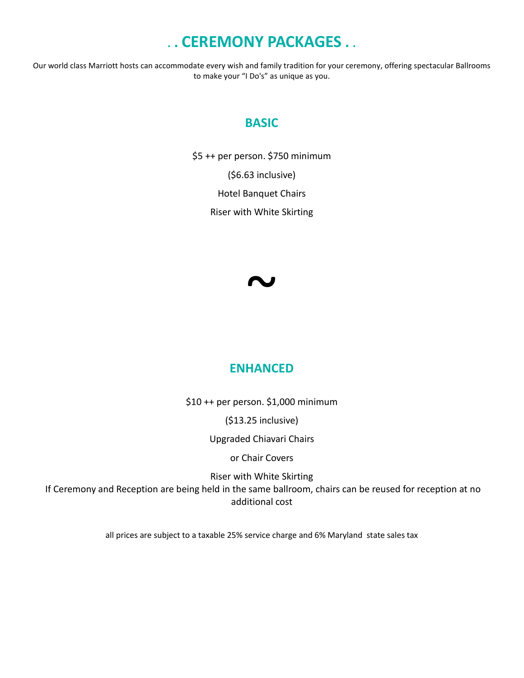# **. . CEREMONY PACKAGES . .**

Our world class Marriott hosts can accommodate every wish and family tradition for your ceremony, offering spectacular Ballrooms to make your "I Do's" as unique as you.

# **BASIC**

\$5 ++ per person. \$750 minimum (\$6.63 inclusive) Hotel Banquet Chairs Riser with White Skirting



# **ENHANCED**

\$10 ++ per person. \$1,000 minimum

(\$13.25 inclusive)

Upgraded Chiavari Chairs

or Chair Covers

Riser with White Skirting If Ceremony and Reception are being held in the same ballroom, chairs can be reused for reception at no additional cost

all prices are subject to a taxable 25% service charge and 6% Maryland state sales tax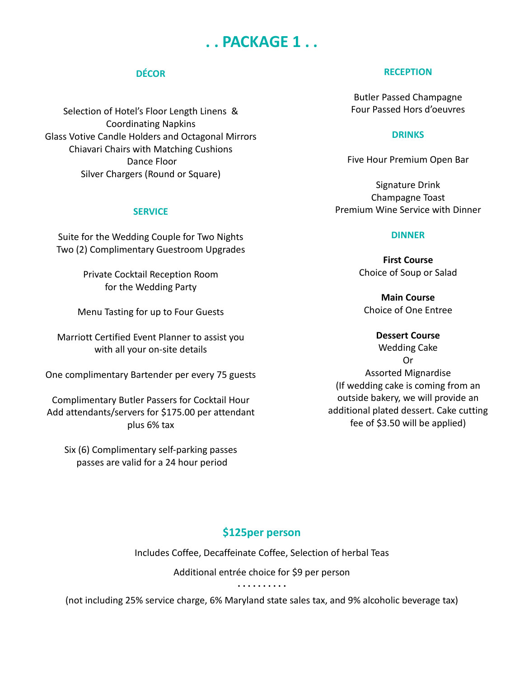# **. . PACKAGE 1 . .**

# **DÉCOR**

Selection of Hotel's Floor Length Linens & Coordinating Napkins Glass Votive Candle Holders and Octagonal Mirrors Chiavari Chairs with Matching Cushions Dance Floor Silver Chargers (Round or Square)

### **SERVICE**

Suite for the Wedding Couple for Two Nights Two (2) Complimentary Guestroom Upgrades

> Private Cocktail Reception Room for the Wedding Party

Menu Tasting for up to Four Guests

Marriott Certified Event Planner to assist you with all your on-site details

One complimentary Bartender per every 75 guests

Complimentary Butler Passers for Cocktail Hour Add attendants/servers for \$175.00 per attendant plus 6% tax

Six (6) Complimentary self-parking passes passes are valid for a 24 hour period

### **RECEPTION**

Butler Passed Champagne Four Passed Hors d'oeuvres

## **DRINKS**

Five Hour Premium Open Bar

Signature Drink Champagne Toast Premium Wine Service with Dinner

### **DINNER**

**First Course** Choice of Soup or Salad

**Main Course** Choice of One Entree

## **Dessert Course**

Wedding Cake Or Assorted Mignardise (If wedding cake is coming from an outside bakery, we will provide an additional plated dessert. Cake cutting fee of \$3.50 will be applied)

# **\$125per person**

Includes Coffee, Decaffeinate Coffee, Selection of herbal Teas

Additional entrée choice for \$9 per person

**. . . . . . . . . .**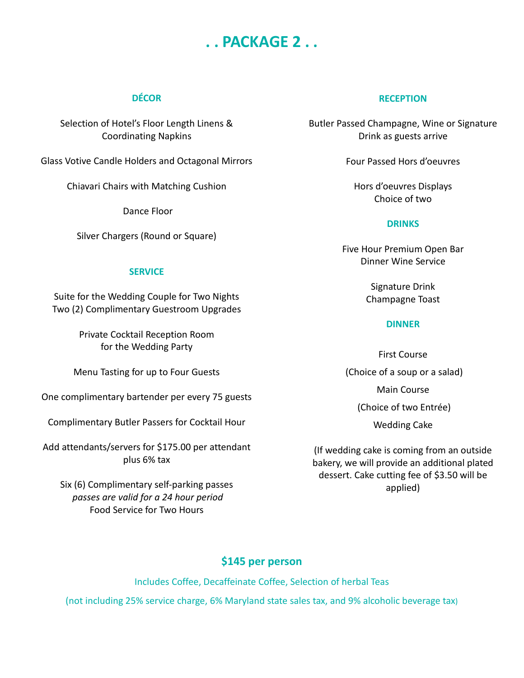# **. . PACKAGE 2 . .**

# **DÉCOR**

Selection of Hotel's Floor Length Linens & Coordinating Napkins

Glass Votive Candle Holders and Octagonal Mirrors

Chiavari Chairs with Matching Cushion

Dance Floor

Silver Chargers (Round or Square)

## **SERVICE**

Suite for the Wedding Couple for Two Nights Two (2) Complimentary Guestroom Upgrades

> Private Cocktail Reception Room for the Wedding Party

Menu Tasting for up to Four Guests

One complimentary bartender per every 75 guests

Complimentary Butler Passers for Cocktail Hour

Add attendants/servers for \$175.00 per attendant plus 6% tax

Six (6) Complimentary self-parking passes *passes are valid for a 24 hour period* Food Service for Two Hours

# **RECEPTION**

Butler Passed Champagne, Wine or Signature Drink as guests arrive

Four Passed Hors d'oeuvres

Hors d'oeuvres Displays Choice of two

# **DRINKS**

Five Hour Premium Open Bar Dinner Wine Service

> Signature Drink Champagne Toast

# **DINNER**

First Course (Choice of a soup or a salad) Main Course (Choice of two Entrée) Wedding Cake

(If wedding cake is coming from an outside bakery, we will provide an additional plated dessert. Cake cutting fee of \$3.50 will be applied)

# **\$145 per person**

Includes Coffee, Decaffeinate Coffee, Selection of herbal Teas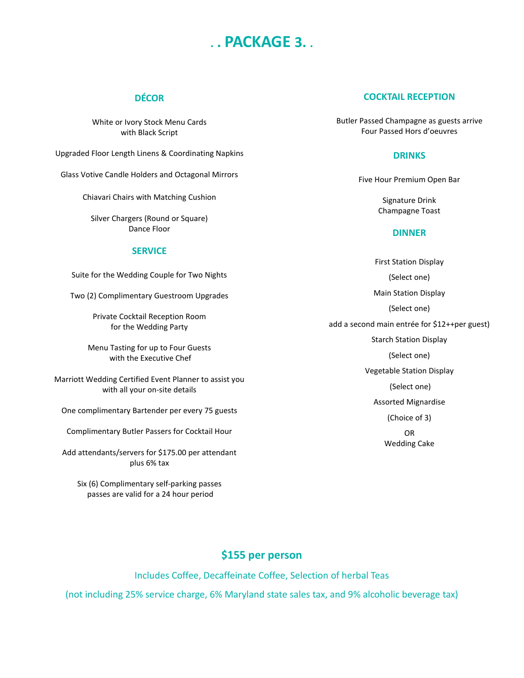# **. . PACKAGE 3. .**

# **DÉCOR**

White or Ivory Stock Menu Cards with Black Script

Upgraded Floor Length Linens & Coordinating Napkins

Glass Votive Candle Holders and Octagonal Mirrors

Chiavari Chairs with Matching Cushion

Silver Chargers (Round or Square) Dance Floor

### **SERVICE**

Suite for the Wedding Couple for Two Nights

Two (2) Complimentary Guestroom Upgrades

Private Cocktail Reception Room for the Wedding Party

Menu Tasting for up to Four Guests with the Executive Chef

Marriott Wedding Certified Event Planner to assist you with all your on-site details

One complimentary Bartender per every 75 guests

Complimentary Butler Passers for Cocktail Hour

Add attendants/servers for \$175.00 per attendant plus 6% tax

Six (6) Complimentary self-parking passes passes are valid for a 24 hour period

### **COCKTAIL RECEPTION**

Butler Passed Champagne as guests arrive Four Passed Hors d'oeuvres

### **DRINKS**

Five Hour Premium Open Bar

Signature Drink Champagne Toast

#### **DINNER**

First Station Display (Select one) Main Station Display (Select one) add a second main entrée for \$12++per guest) Starch Station Display (Select one) Vegetable Station Display (Select one) Assorted Mignardise (Choice of 3) OR Wedding Cake

# **\$155 per person**

Includes Coffee, Decaffeinate Coffee, Selection of herbal Teas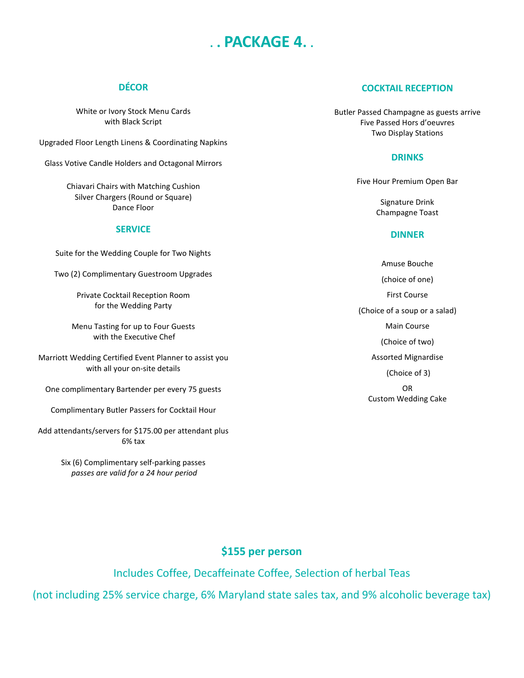# **. . PACKAGE 4. .**

# **DÉCOR**

White or Ivory Stock Menu Cards with Black Script

Upgraded Floor Length Linens & Coordinating Napkins

Glass Votive Candle Holders and Octagonal Mirrors

Chiavari Chairs with Matching Cushion Silver Chargers (Round or Square) Dance Floor

#### **SERVICE**

Suite for the Wedding Couple for Two Nights

Two (2) Complimentary Guestroom Upgrades

Private Cocktail Reception Room for the Wedding Party

Menu Tasting for up to Four Guests with the Executive Chef

Marriott Wedding Certified Event Planner to assist you with all your on-site details

One complimentary Bartender per every 75 guests

Complimentary Butler Passers for Cocktail Hour

Add attendants/servers for \$175.00 per attendant plus 6% tax

> Six (6) Complimentary self-parking passes *passes are valid for a 24 hour period*

### **COCKTAIL RECEPTION**

Butler Passed Champagne as guests arrive Five Passed Hors d'oeuvres Two Display Stations

### **DRINKS**

Five Hour Premium Open Bar

Signature Drink Champagne Toast

#### **DINNER**

Amuse Bouche (choice of one) First Course (Choice of a soup or a salad) Main Course (Choice of two) Assorted Mignardise (Choice of 3) OR Custom Wedding Cake

# **\$155 per person**

Includes Coffee, Decaffeinate Coffee, Selection of herbal Teas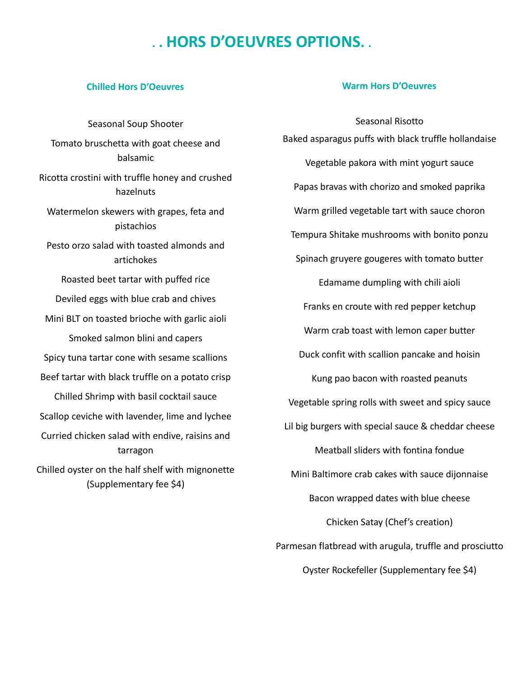# **. . HORS D'OEUVRES OPTIONS. .**

## **Chilled Hors D'Oeuvres**

Seasonal Soup Shooter Tomato bruschetta with goat cheese and balsamic Ricotta crostini with truffle honey and crushed hazelnuts Watermelon skewers with grapes, feta and pistachios Pesto orzo salad with toasted almonds and artichokes Roasted beet tartar with puffed rice Deviled eggs with blue crab and chives Mini BLT on toasted brioche with garlic aioli Smoked salmon blini and capers Spicy tuna tartar cone with sesame scallions Beef tartar with black truffle on a potato crisp Chilled Shrimp with basil cocktail sauce Scallop ceviche with lavender, lime and lychee Curried chicken salad with endive, raisins and tarragon Chilled oyster on the half shelf with mignonette (Supplementary fee \$4)

## **Warm Hors D'Oeuvres**

Seasonal Risotto Baked asparagus puffs with black truffle hollandaise Vegetable pakora with mint yogurt sauce Papas bravas with chorizo and smoked paprika Warm grilled vegetable tart with sauce choron Tempura Shitake mushrooms with bonito ponzu Spinach gruyere gougeres with tomato butter Edamame dumpling with chili aioli Franks en croute with red pepper ketchup Warm crab toast with lemon caper butter Duck confit with scallion pancake and hoisin Kung pao bacon with roasted peanuts Vegetable spring rolls with sweet and spicy sauce Lil big burgers with special sauce & cheddar cheese Meatball sliders with fontina fondue Mini Baltimore crab cakes with sauce dijonnaise Bacon wrapped dates with blue cheese Chicken Satay (Chef's creation) Parmesan flatbread with arugula, truffle and prosciutto Oyster Rockefeller (Supplementary fee \$4)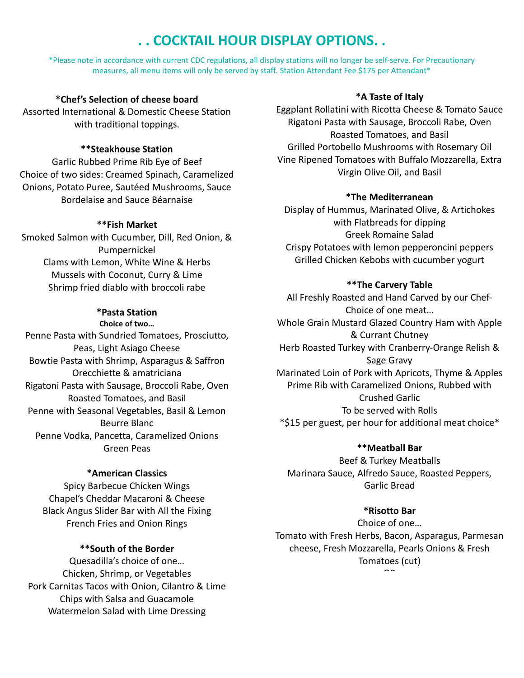# **. . COCKTAIL HOUR DISPLAY OPTIONS. .**

\*Please note in accordance with current CDC regulations, all display stations will no longer be self-serve. For Precautionary measures, all menu items will only be served by staff. Station Attendant Fee \$175 per Attendant\*

# **\*Chef's Selection of cheese board**

Assorted International & Domestic Cheese Station with traditional toppings.

## **\*\*Steakhouse Station**

Garlic Rubbed Prime Rib Eye of Beef Choice of two sides: Creamed Spinach, Caramelized Onions, Potato Puree, Sautéed Mushrooms, Sauce Bordelaise and Sauce Béarnaise

## **\*\*Fish Market**

Smoked Salmon with Cucumber, Dill, Red Onion, & Pumpernickel Clams with Lemon, White Wine & Herbs Mussels with Coconut, Curry & Lime Shrimp fried diablo with broccoli rabe

### **\*Pasta Station**

**Choice of two…** Penne Pasta with Sundried Tomatoes, Prosciutto, Peas, Light Asiago Cheese Bowtie Pasta with Shrimp, Asparagus & Saffron Orecchiette & amatriciana Rigatoni Pasta with Sausage, Broccoli Rabe, Oven Roasted Tomatoes, and Basil Penne with Seasonal Vegetables, Basil & Lemon Beurre Blanc Penne Vodka, Pancetta, Caramelized Onions Green Peas

### **\*American Classics**

Spicy Barbecue Chicken Wings Chapel's Cheddar Macaroni & Cheese Black Angus Slider Bar with All the Fixing French Fries and Onion Rings

# **\*\*South of the Border**

Quesadilla's choice of one… Chicken, Shrimp, or Vegetables Pork Carnitas Tacos with Onion, Cilantro & Lime Chips with Salsa and Guacamole Watermelon Salad with Lime Dressing

# **\*A Taste of Italy**

Eggplant Rollatini with Ricotta Cheese & Tomato Sauce Rigatoni Pasta with Sausage, Broccoli Rabe, Oven Roasted Tomatoes, and Basil Grilled Portobello Mushrooms with Rosemary Oil Vine Ripened Tomatoes with Buffalo Mozzarella, Extra Virgin Olive Oil, and Basil

## **\*The Mediterranean**

Display of Hummus, Marinated Olive, & Artichokes with Flatbreads for dipping Greek Romaine Salad Crispy Potatoes with lemon pepperoncini peppers Grilled Chicken Kebobs with cucumber yogurt

## **\*\*The Carvery Table**

All Freshly Roasted and Hand Carved by our Chef-Choice of one meat… Whole Grain Mustard Glazed Country Ham with Apple & Currant Chutney Herb Roasted Turkey with Cranberry-Orange Relish & Sage Gravy Marinated Loin of Pork with Apricots, Thyme & Apples Prime Rib with Caramelized Onions, Rubbed with Crushed Garlic To be served with Rolls \*\$15 per guest, per hour for additional meat choice\*

### **\*\*Meatball Bar**

Beef & Turkey Meatballs Marinara Sauce, Alfredo Sauce, Roasted Peppers, Garlic Bread

## **\*Risotto Bar**

Choice of one… Tomato with Fresh Herbs, Bacon, Asparagus, Parmesan cheese, Fresh Mozzarella, Pearls Onions & Fresh Tomatoes (cut)  $\hat{\phantom{a}}$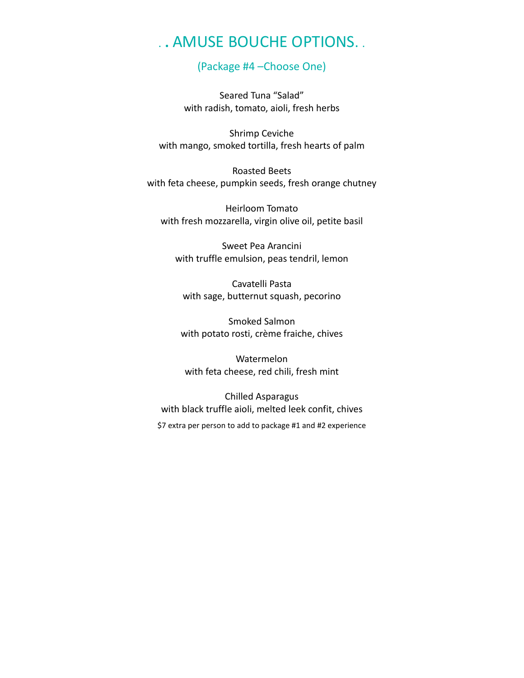# . **.** AMUSE BOUCHE OPTIONS. .

# (Package #4 –Choose One)

Seared Tuna "Salad" with radish, tomato, aioli, fresh herbs

Shrimp Ceviche with mango, smoked tortilla, fresh hearts of palm

Roasted Beets with feta cheese, pumpkin seeds, fresh orange chutney

Heirloom Tomato with fresh mozzarella, virgin olive oil, petite basil

Sweet Pea Arancini with truffle emulsion, peas tendril, lemon

Cavatelli Pasta with sage, butternut squash, pecorino

Smoked Salmon with potato rosti, crème fraiche, chives

Watermelon with feta cheese, red chili, fresh mint

Chilled Asparagus with black truffle aioli, melted leek confit, chives \$7 extra per person to add to package #1 and #2 experience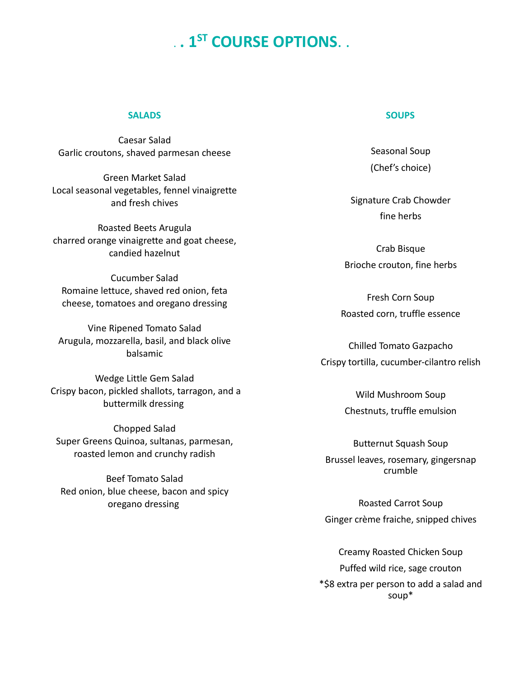# . **. 1ST COURSE OPTIONS**. .

### **SALADS**

Caesar Salad Garlic croutons, shaved parmesan cheese

Green Market Salad Local seasonal vegetables, fennel vinaigrette and fresh chives

Roasted Beets Arugula charred orange vinaigrette and goat cheese, candied hazelnut

Cucumber Salad Romaine lettuce, shaved red onion, feta cheese, tomatoes and oregano dressing

Vine Ripened Tomato Salad Arugula, mozzarella, basil, and black olive balsamic

Wedge Little Gem Salad Crispy bacon, pickled shallots, tarragon, and a buttermilk dressing

Chopped Salad Super Greens Quinoa, sultanas, parmesan, roasted lemon and crunchy radish

Beef Tomato Salad Red onion, blue cheese, bacon and spicy oregano dressing

#### **SOUPS**

Seasonal Soup (Chef's choice)

Signature Crab Chowder fine herbs

Crab Bisque Brioche crouton, fine herbs

Fresh Corn Soup Roasted corn, truffle essence

Chilled Tomato Gazpacho Crispy tortilla, cucumber-cilantro relish

> Wild Mushroom Soup Chestnuts, truffle emulsion

Butternut Squash Soup Brussel leaves, rosemary, gingersnap crumble

Roasted Carrot Soup Ginger crème fraiche, snipped chives

Creamy Roasted Chicken Soup Puffed wild rice, sage crouton \*\$8 extra per person to add a salad and soup\*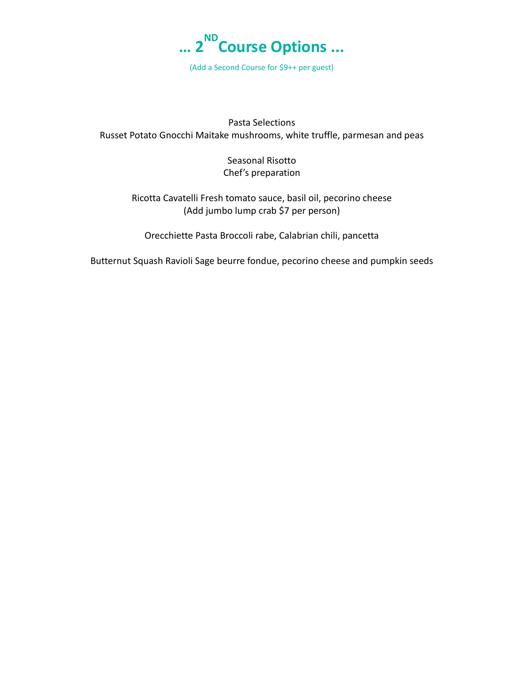

(Add a Second Course for \$9++ per guest)

Pasta Selections Russet Potato Gnocchi Maitake mushrooms, white truffle, parmesan and peas

> Seasonal Risotto Chef's preparation

Ricotta Cavatelli Fresh tomato sauce, basil oil, pecorino cheese (Add jumbo lump crab \$7 per person)

Orecchiette Pasta Broccoli rabe, Calabrian chili, pancetta

Butternut Squash Ravioli Sage beurre fondue, pecorino cheese and pumpkin seeds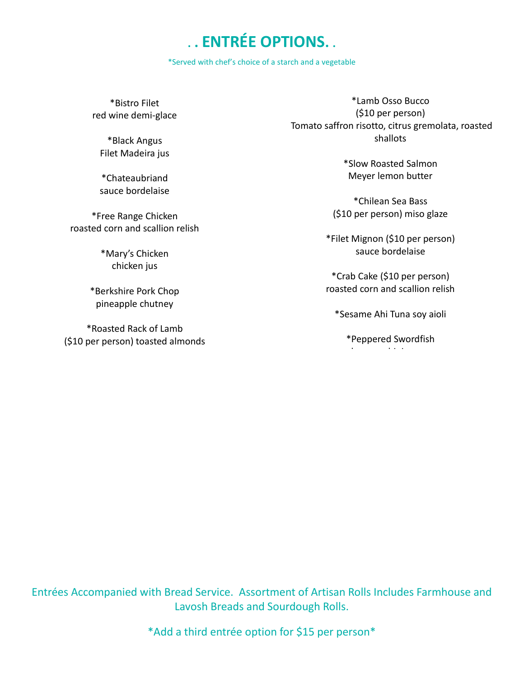# **. . ENTRÉE OPTIONS. .**

\*Served with chef's choice of a starch and a vegetable

\*Bistro Filet red wine demi-glace

\*Black Angus Filet Madeira jus

\*Chateaubriand sauce bordelaise

\*Free Range Chicken roasted corn and scallion relish

> \*Mary's Chicken chicken jus

\*Berkshire Pork Chop pineapple chutney

\*Roasted Rack of Lamb (\$10 per person) toasted almonds

\*Lamb Osso Bucco (\$10 per person) Tomato saffron risotto, citrus gremolata, roasted shallots

> \*Slow Roasted Salmon Meyer lemon butter

\*Chilean Sea Bass (\$10 per person) miso glaze

\*Filet Mignon (\$10 per person) sauce bordelaise

\*Crab Cake (\$10 per person) roasted corn and scallion relish

\*Sesame Ahi Tuna soy aioli

\*Peppered Swordfish l hi i

Entrées Accompanied with Bread Service. Assortment of Artisan Rolls Includes Farmhouse and Lavosh Breads and Sourdough Rolls.

\*Add a third entrée option for \$15 per person\*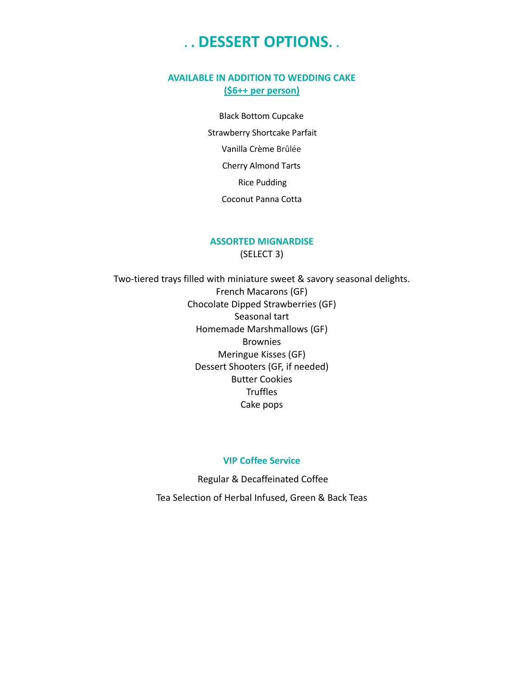# **. . DESSERT OPTIONS. .**

# **AVAILABLE IN ADDITION TO WEDDING CAKE (\$6++ per person)**

Black Bottom Cupcake Strawberry Shortcake Parfait Vanilla Crème Brûlée Cherry Almond Tarts Rice Pudding Coconut Panna Cotta

# **ASSORTED MIGNARDISE**

(SELECT 3)

Two-tiered trays filled with miniature sweet & savory seasonal delights. French Macarons (GF) Chocolate Dipped Strawberries (GF) Seasonal tart Homemade Marshmallows (GF) Brownies Meringue Kisses (GF) Dessert Shooters (GF, if needed) Butter Cookies **Truffles** Cake pops

### **VIP Coffee Service**

Regular & Decaffeinated Coffee Tea Selection of Herbal Infused, Green & Back Teas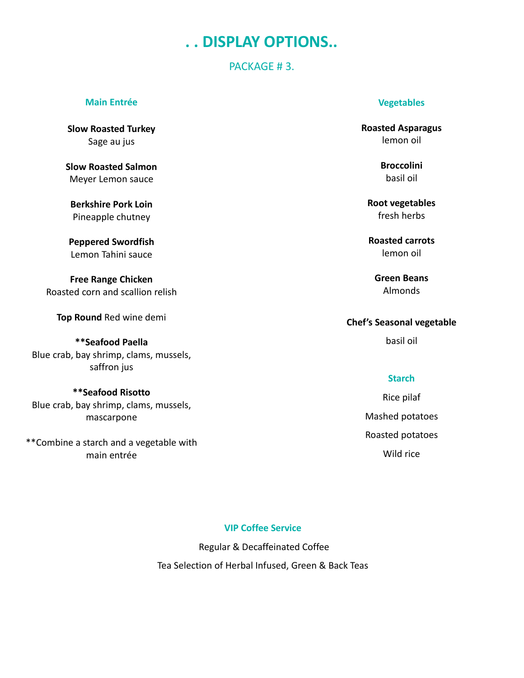# **. . DISPLAY OPTIONS..**

# PACKAGE #3.

### **Main Entrée**

**Slow Roasted Turkey** Sage au jus

**Slow Roasted Salmon** Meyer Lemon sauce

**Berkshire Pork Loin** Pineapple chutney

**Peppered Swordfish** Lemon Tahini sauce

**Free Range Chicken** Roasted corn and scallion relish

**Top Round** Red wine demi

**\*\*Seafood Paella** Blue crab, bay shrimp, clams, mussels, saffron jus

**\*\*Seafood Risotto** Blue crab, bay shrimp, clams, mussels, mascarpone

\*\*Combine a starch and a vegetable with main entrée

## **Vegetables**

**Roasted Asparagus** lemon oil

> **Broccolini** basil oil

**Root vegetables** fresh herbs

**Roasted carrots** lemon oil

**Green Beans** Almonds

# **Chef's Seasonal vegetable**

basil oil

## **Starch**

Rice pilaf Mashed potatoes Roasted potatoes Wild rice

# **VIP Coffee Service**

Regular & Decaffeinated Coffee Tea Selection of Herbal Infused, Green & Back Teas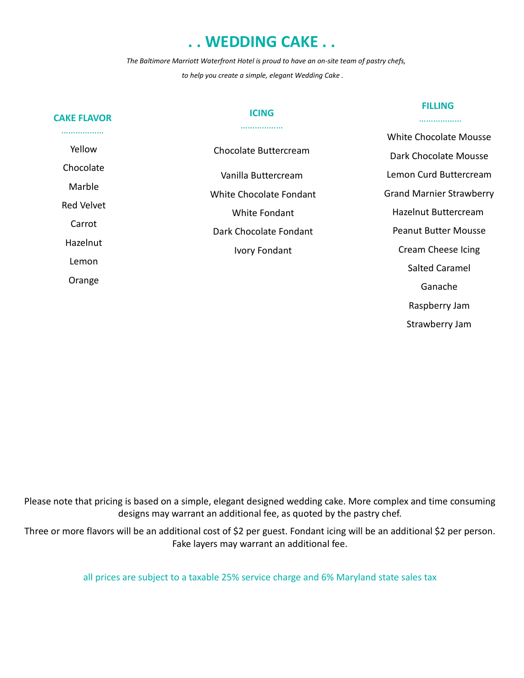# **. . WEDDING CAKE . .**

*The Baltimore Marriott Waterfront Hotel is proud to have an on-site team of pastry chefs, to help you create a simple, elegant Wedding Cake .* 

| <b>CAKE FLAVOR</b> | <b>ICING</b>            | <b>FILLING</b><br>.             |
|--------------------|-------------------------|---------------------------------|
|                    |                         | White Chocolate Mousse          |
| Yellow             | Chocolate Buttercream   | Dark Chocolate Mousse           |
| Chocolate          | Vanilla Buttercream     | Lemon Curd Buttercream          |
| Marble             | White Chocolate Fondant | <b>Grand Marnier Strawberry</b> |
| <b>Red Velvet</b>  | White Fondant           | Hazelnut Buttercream            |
| Carrot             | Dark Chocolate Fondant  | <b>Peanut Butter Mousse</b>     |
| Hazelnut           | <b>Ivory Fondant</b>    | Cream Cheese Icing              |
| Lemon              |                         | <b>Salted Caramel</b>           |
| Orange             |                         | Ganache                         |
|                    |                         | Raspberry Jam                   |
|                    |                         | Strawberry Jam                  |

Please note that pricing is based on a simple, elegant designed wedding cake. More complex and time consuming designs may warrant an additional fee, as quoted by the pastry chef.

Three or more flavors will be an additional cost of \$2 per guest. Fondant icing will be an additional \$2 per person. Fake layers may warrant an additional fee.

all prices are subject to a taxable 25% service charge and 6% Maryland state sales tax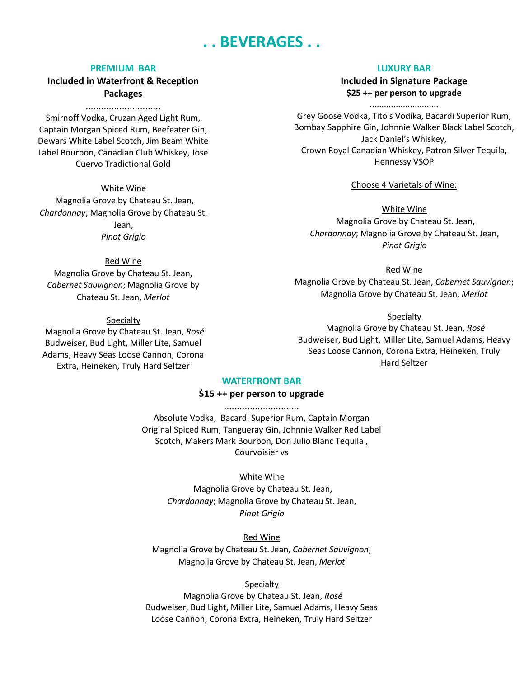# **. . BEVERAGES . .**

#### **PREMIUM BAR**

**Included in Waterfront & Reception Packages**

.............................

Smirnoff Vodka, Cruzan Aged Light Rum, Captain Morgan Spiced Rum, Beefeater Gin, Dewars White Label Scotch, Jim Beam White Label Bourbon, Canadian Club Whiskey, Jose Cuervo Tradictional Gold

White Wine Magnolia Grove by Chateau St. Jean, *Chardonnay*; Magnolia Grove by Chateau St. Jean, *Pinot Grigio*

### Red Wine

Magnolia Grove by Chateau St. Jean, *Cabernet Sauvignon*; Magnolia Grove by Chateau St. Jean, *Merlot*

#### Specialty

Magnolia Grove by Chateau St. Jean, *Rosé* Budweiser, Bud Light, Miller Lite, Samuel Adams, Heavy Seas Loose Cannon, Corona Extra, Heineken, Truly Hard Seltzer

### **LUXURY BAR**

**Included in Signature Package \$25 ++ per person to upgrade**

............................. Grey Goose Vodka, Tito's Vodika, Bacardi Superior Rum, Bombay Sapphire Gin, Johnnie Walker Black Label Scotch, Jack Daniel's Whiskey, Crown Royal Canadian Whiskey, Patron Silver Tequila, Hennessy VSOP

Choose 4 Varietals of Wine:

White Wine Magnolia Grove by Chateau St. Jean, *Chardonnay*; Magnolia Grove by Chateau St. Jean, *Pinot Grigio*

Red Wine Magnolia Grove by Chateau St. Jean, *Cabernet Sauvignon*; Magnolia Grove by Chateau St. Jean, *Merlot*

### Specialty

Magnolia Grove by Chateau St. Jean, *Rosé* Budweiser, Bud Light, Miller Lite, Samuel Adams, Heavy Seas Loose Cannon, Corona Extra, Heineken, Truly Hard Seltzer

### **WATERFRONT BAR**

### **\$15 ++ per person to upgrade** .............................

Absolute Vodka, Bacardi Superior Rum, Captain Morgan Original Spiced Rum, Tangueray Gin, Johnnie Walker Red Label Scotch, Makers Mark Bourbon, Don Julio Blanc Tequila , Courvoisier vs

### White Wine

Magnolia Grove by Chateau St. Jean, *Chardonnay*; Magnolia Grove by Chateau St. Jean, *Pinot Grigio*

#### Red Wine

Magnolia Grove by Chateau St. Jean, *Cabernet Sauvignon*; Magnolia Grove by Chateau St. Jean, *Merlot*

### Specialty

Magnolia Grove by Chateau St. Jean, *Rosé* Budweiser, Bud Light, Miller Lite, Samuel Adams, Heavy Seas Loose Cannon, Corona Extra, Heineken, Truly Hard Seltzer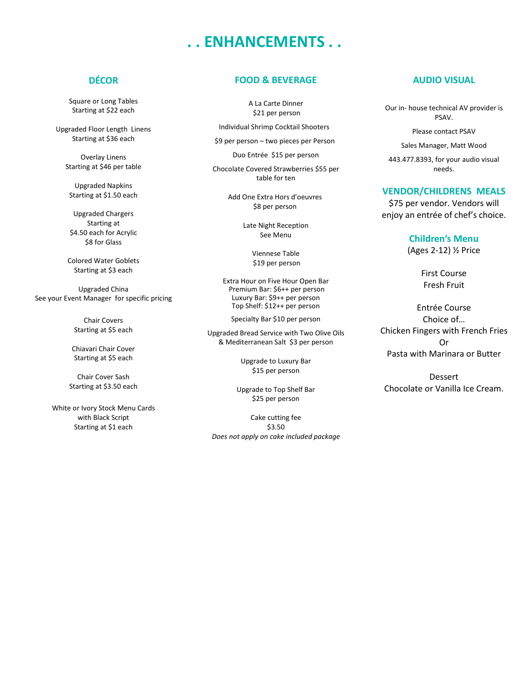# **. . ENHANCEMENTS . .**

# **DÉCOR**

Square or Long Tables Starting at \$22 each

Upgraded Floor Length Linens Starting at \$36 each

Overlay Linens Starting at \$46 per table

Upgraded Napkins Starting at \$1.50 each

Upgraded Chargers Starting at \$4.50 each for Acrylic \$8 for Glass

Colored Water Goblets Starting at \$3 each

Upgraded China See your Event Manager for specific pricing

> Chair Covers Starting at \$5 each

Chiavari Chair Cover Starting at \$5 each

Chair Cover Sash Starting at \$3.50 each

White or Ivory Stock Menu Cards with Black Script Starting at \$1 each

## **FOOD & BEVERAGE**

A La Carte Dinner \$21 per person

- Individual Shrimp Cocktail Shooters
- \$9 per person two pieces per Person

Duo Entrée \$15 per person

Chocolate Covered Strawberries \$55 per table for ten

> Add One Extra Hors d'oeuvres \$8 per person

> > Late Night Reception See Menu

> > > Viennese Table \$19 per person

Extra Hour on Five Hour Open Bar Premium Bar: \$6++ per person Luxury Bar: \$9++ per person Top Shelf: \$12++ per person

Specialty Bar \$10 per person

Upgraded Bread Service with Two Olive Oils & Mediterranean Salt\$3 per person

> Upgrade to Luxury Bar \$15 per person

Upgrade to Top Shelf Bar \$25 per person

Cake cutting fee \$3.50 *Does not apply on cake included package*

## **AUDIO VISUAL**

Our in- house technical AV provider is PSAV.

Please contact PSAV

Sales Manager, Matt Wood 443.477.8393, for your audio visual needs.

#### **VENDOR/CHILDRENS MEALS**

\$75 per vendor. Vendors will enjoy an entrée of chef's choice.

#### **Children's Menu**

(Ages 2-12) ½ Price

First Course Fresh Fruit

Entrée Course Choice of… Chicken Fingers with French Fries Or Pasta with Marinara or Butter

Dessert Chocolate or Vanilla Ice Cream.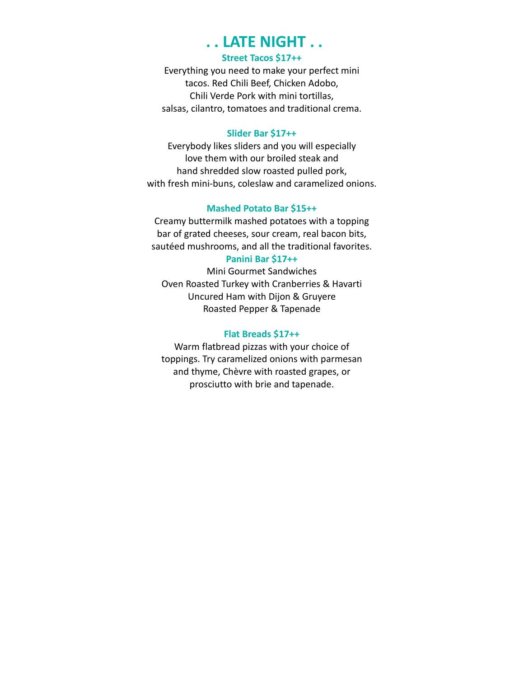# **. . LATE NIGHT . .**

# **Street Tacos \$17++**

Everything you need to make your perfect mini tacos. Red Chili Beef, Chicken Adobo, Chili Verde Pork with mini tortillas, salsas, cilantro, tomatoes and traditional crema.

## **Slider Bar \$17++**

Everybody likes sliders and you will especially love them with our broiled steak and hand shredded slow roasted pulled pork, with fresh mini-buns, coleslaw and caramelized onions.

# **Mashed Potato Bar \$15++**

Creamy buttermilk mashed potatoes with a topping bar of grated cheeses, sour cream, real bacon bits, sautéed mushrooms, and all the traditional favorites.

# **Panini Bar \$17++**

Mini Gourmet Sandwiches Oven Roasted Turkey with Cranberries & Havarti Uncured Ham with Dijon & Gruyere Roasted Pepper & Tapenade

## **Flat Breads \$17++**

Warm flatbread pizzas with your choice of toppings. Try caramelized onions with parmesan and thyme, Chèvre with roasted grapes, or prosciutto with brie and tapenade.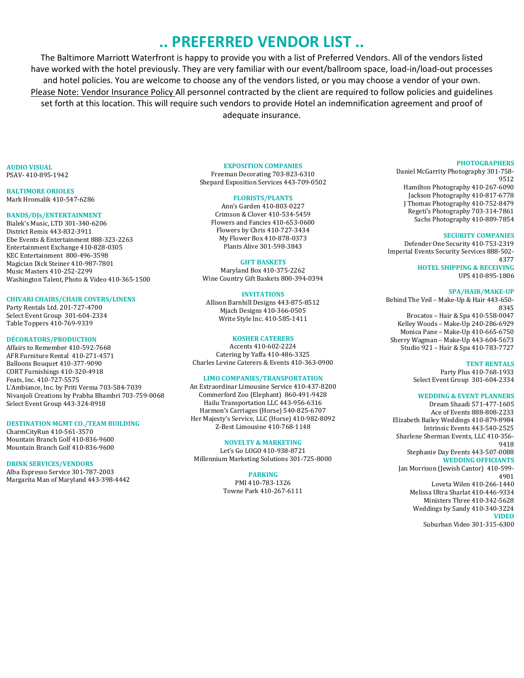# **.. PREFERRED VENDOR LIST ..**

The Baltimore Marriott Waterfront is happy to provide you with a list of Preferred Vendors. All of the vendors listed have worked with the hotel previously. They are very familiar with our event/ballroom space, load-in/load-out processes and hotel policies. You are welcome to choose any of the vendors listed, or you may choose a vendor of your own. Please Note: Vendor Insurance Policy All personnel contracted by the client are required to follow policies and guidelines set forth at this location. This will require such vendors to provide Hotel an indemnification agreement and proof of adequate insurance.

**AUDIO VISUAL**  PSAV- 410-895-1942

**BALTIMORE ORIOLES** Mark Hromalik 410-547-6286

#### **BANDS/DJs/ENTERTAINMENT**

Bialek's Music, LTD 301-340-6206 District Remix 443-832-3911 Ebe Events & Entertainment 888-323-2263 Entertainment Exchange 410-828-0305 KEC Entertainment 800-496-3598 Magician Dick Steiner 410-987-7801 Music Masters 410-252-2299 Washington Talent, Photo & Video 410-365-1500

#### **CHIVARI CHAIRS/CHAIR COVERS/LINENS**

Party Rentals Ltd. 201-727-4700 Select Event Group 301-604-2334 Table Toppers 410-769-9339

#### **DÉCORATORS/PRODUCTION**

Affairs to Remember 410-592-7668 AFR Furniture Rental 410-271-4571 Balloons Bouquet 410-377-9090 CORT Furnishings 410-320-4918 Feats, Inc. 410-727-5575 L'Ambiance, Inc. by Priti Verma 703-584-7039 Nivanjoli Creations by Prabha Bhambri 703-759-0068 Select Event Group 443-324-8918

#### **DESTINATION MGMT CO./TEAM BUILDING**

CharmCityRun 410-561-3570 Mountain Branch Golf 410-836-9600 Mountain Branch Golf 410-836-9600

#### **DRINK SERVICES/VENDORS**

Alba Espresso Service 301-787-2003 Margarita Man of Maryland 443-398-4442

#### **EXPOSITION COMPANIES**

Freeman Decorating 703-823-6310 Shepard Exposition Services 443-709-0502

#### **FLORISTS/PLANTS**

Ann's Garden 410-803-0227 Crimson & Clover 410-534-5459 Flowers and Fancies 410-653-0600 Flowers by Chris 410-727-3434 My Flower Box 410-878-0373 Plants Alive 301-598-3843

#### **GIFT BASKETS**

Maryland Box 410-375-2262 Wine Country Gift Baskets 800-394-0394

#### **INVITATIONS**

Allison Barnhill Designs 443-875-8512 Mjach Designs 410-366-0505 Write Style Inc. 410-585-1411

#### **KOSHER CATERERS**

Accents 410-602-2224 Catering by Yaffa 410-486-3325 Charles Levine Caterers & Events 410-363-0900

#### **LIMO COMPANIES/TRANSPORTATION**

An Extraordinar Limousine Service 410-437-8200 Commerford Zoo (Elephant) 860-491-9428 Hailu Transportation LLC 443-956-6316 Harmon's Carriages (Horse) 540-825-6707 Her Majesty's Service, LLC (Horse) 410-982-8092 Z-Best Limousine 410-768-1148

#### **NOVELTY & MARKETING**

Let's Go LOGO 410-938-8721 Millennium Marketing Solutions 301-725-8000

#### **PARKING**

PMI 410-783-1326 Towne Park 410-267-6111

#### **PHOTOGRAPHERS**

Daniel McGarrity Photography 301-758- 9512 Hamilton Photography 410-267-6090 Jackson Photography 410-817-6778 J Thomas Photography 410-752-8479 Regeti's Photography 703-314-7861 Sachs Photography 410-889-7854

#### **SECURITY COMPANIES**

Defender One Security 410-753-2319 Imperial Events Security Services 888-502- 4377 **HOTEL SHIPPING & RECEIVING** UPS 410-895-1806

#### **SPA/HAIR/MAKE-UP**

Behind The Veil – Make-Up & Hair 443-650- 8345 Brocatos – Hair & Spa 410-558-0047 Kelley Woods – Make-Up 240-286-6929 Monica Pane – Make-Up 410-665-6750

Sherry Wagman – Make-Up 443-604-5673 Studio 921 – Hair & Spa 410-783-7727

#### **TENT RENTALS**

Party Plus 410-768-1933 Select Event Group 301-604-2334

#### **WEDDING & EVENT PLANNERS**

Dream Shaadi 571-477-1605 Ace of Events 888-808-2233 Elizabeth Bailey Weddings 410-879-8984 Intrinsic Events 443-540-2525 Sharlene Sherman Events, LLC 410-356- 9418 Stephanie Day Events 443-507-0088 **WEDDING OFFICIANTS**  Jan Morrison (Jewish Cantor) 410-599- 4901 Loveta Wilen 410-266-1440 Melissa Ultra Sharlat 410-446-9334 Ministers Three 410-342-5628 Weddings by Sandy 410-340-3224 **VIDEO**

Suburban Video 301-315-6300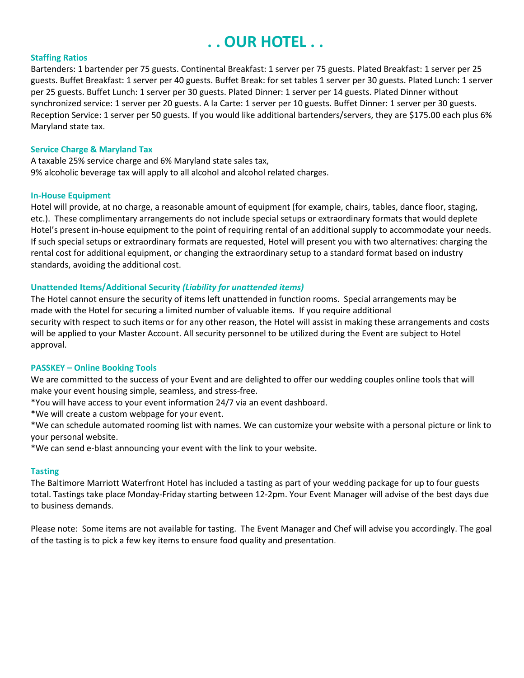# **. . OUR HOTEL . .**

### **Staffing Ratios**

Bartenders: 1 bartender per 75 guests. Continental Breakfast: 1 server per 75 guests. Plated Breakfast: 1 server per 25 guests. Buffet Breakfast: 1 server per 40 guests. Buffet Break: for set tables 1 server per 30 guests. Plated Lunch: 1 server per 25 guests. Buffet Lunch: 1 server per 30 guests. Plated Dinner: 1 server per 14 guests. Plated Dinner without synchronized service: 1 server per 20 guests. A la Carte: 1 server per 10 guests. Buffet Dinner: 1 server per 30 guests. Reception Service: 1 server per 50 guests. If you would like additional bartenders/servers, they are \$175.00 each plus 6% Maryland state tax.

### **Service Charge & Maryland Tax**

A taxable 25% service charge and 6% Maryland state sales tax, 9% alcoholic beverage tax will apply to all alcohol and alcohol related charges.

### **In-House Equipment**

Hotel will provide, at no charge, a reasonable amount of equipment (for example, chairs, tables, dance floor, staging, etc.). These complimentary arrangements do not include special setups or extraordinary formats that would deplete Hotel's present in-house equipment to the point of requiring rental of an additional supply to accommodate your needs. If such special setups or extraordinary formats are requested, Hotel will present you with two alternatives: charging the rental cost for additional equipment, or changing the extraordinary setup to a standard format based on industry standards, avoiding the additional cost.

# **Unattended Items/Additional Security** *(Liability for unattended items)*

The Hotel cannot ensure the security of items left unattended in function rooms. Special arrangements may be made with the Hotel for securing a limited number of valuable items. If you require additional security with respect to such items or for any other reason, the Hotel will assist in making these arrangements and costs will be applied to your Master Account. All security personnel to be utilized during the Event are subject to Hotel approval.

## **PASSKEY – Online Booking Tools**

We are committed to the success of your Event and are delighted to offer our wedding couples online tools that will make your event housing simple, seamless, and stress-free.

\*You will have access to your event information 24/7 via an event dashboard.

\*We will create a custom webpage for your event.

\*We can schedule automated rooming list with names. We can customize your website with a personal picture or link to your personal website.

\*We can send e-blast announcing your event with the link to your website.

## **Tasting**

The Baltimore Marriott Waterfront Hotel has included a tasting as part of your wedding package for up to four guests total. Tastings take place Monday-Friday starting between 12-2pm. Your Event Manager will advise of the best days due to business demands.

Please note: Some items are not available for tasting. The Event Manager and Chef will advise you accordingly. The goal of the tasting is to pick a few key items to ensure food quality and presentation.